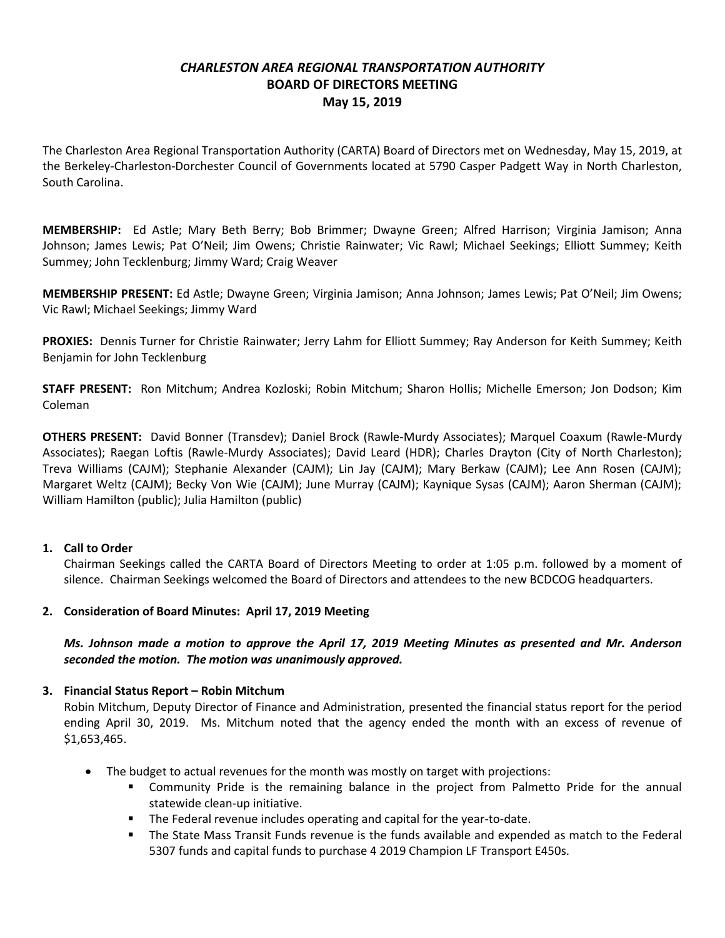# *CHARLESTON AREA REGIONAL TRANSPORTATION AUTHORITY* **BOARD OF DIRECTORS MEETING May 15, 2019**

The Charleston Area Regional Transportation Authority (CARTA) Board of Directors met on Wednesday, May 15, 2019, at the Berkeley-Charleston-Dorchester Council of Governments located at 5790 Casper Padgett Way in North Charleston, South Carolina.

**MEMBERSHIP:** Ed Astle; Mary Beth Berry; Bob Brimmer; Dwayne Green; Alfred Harrison; Virginia Jamison; Anna Johnson; James Lewis; Pat O'Neil; Jim Owens; Christie Rainwater; Vic Rawl; Michael Seekings; Elliott Summey; Keith Summey; John Tecklenburg; Jimmy Ward; Craig Weaver

**MEMBERSHIP PRESENT:** Ed Astle; Dwayne Green; Virginia Jamison; Anna Johnson; James Lewis; Pat O'Neil; Jim Owens; Vic Rawl; Michael Seekings; Jimmy Ward

**PROXIES:** Dennis Turner for Christie Rainwater; Jerry Lahm for Elliott Summey; Ray Anderson for Keith Summey; Keith Benjamin for John Tecklenburg

**STAFF PRESENT:** Ron Mitchum; Andrea Kozloski; Robin Mitchum; Sharon Hollis; Michelle Emerson; Jon Dodson; Kim Coleman

**OTHERS PRESENT:** David Bonner (Transdev); Daniel Brock (Rawle-Murdy Associates); Marquel Coaxum (Rawle-Murdy Associates); Raegan Loftis (Rawle-Murdy Associates); David Leard (HDR); Charles Drayton (City of North Charleston); Treva Williams (CAJM); Stephanie Alexander (CAJM); Lin Jay (CAJM); Mary Berkaw (CAJM); Lee Ann Rosen (CAJM); Margaret Weltz (CAJM); Becky Von Wie (CAJM); June Murray (CAJM); Kaynique Sysas (CAJM); Aaron Sherman (CAJM); William Hamilton (public); Julia Hamilton (public)

# **1. Call to Order**

Chairman Seekings called the CARTA Board of Directors Meeting to order at 1:05 p.m. followed by a moment of silence. Chairman Seekings welcomed the Board of Directors and attendees to the new BCDCOG headquarters.

# **2. Consideration of Board Minutes: April 17, 2019 Meeting**

*Ms. Johnson made a motion to approve the April 17, 2019 Meeting Minutes as presented and Mr. Anderson seconded the motion. The motion was unanimously approved.*

# **3. Financial Status Report – Robin Mitchum**

Robin Mitchum, Deputy Director of Finance and Administration, presented the financial status report for the period ending April 30, 2019. Ms. Mitchum noted that the agency ended the month with an excess of revenue of \$1,653,465.

- The budget to actual revenues for the month was mostly on target with projections:
	- Community Pride is the remaining balance in the project from Palmetto Pride for the annual statewide clean-up initiative.
	- **The Federal revenue includes operating and capital for the year-to-date.**
	- The State Mass Transit Funds revenue is the funds available and expended as match to the Federal 5307 funds and capital funds to purchase 4 2019 Champion LF Transport E450s.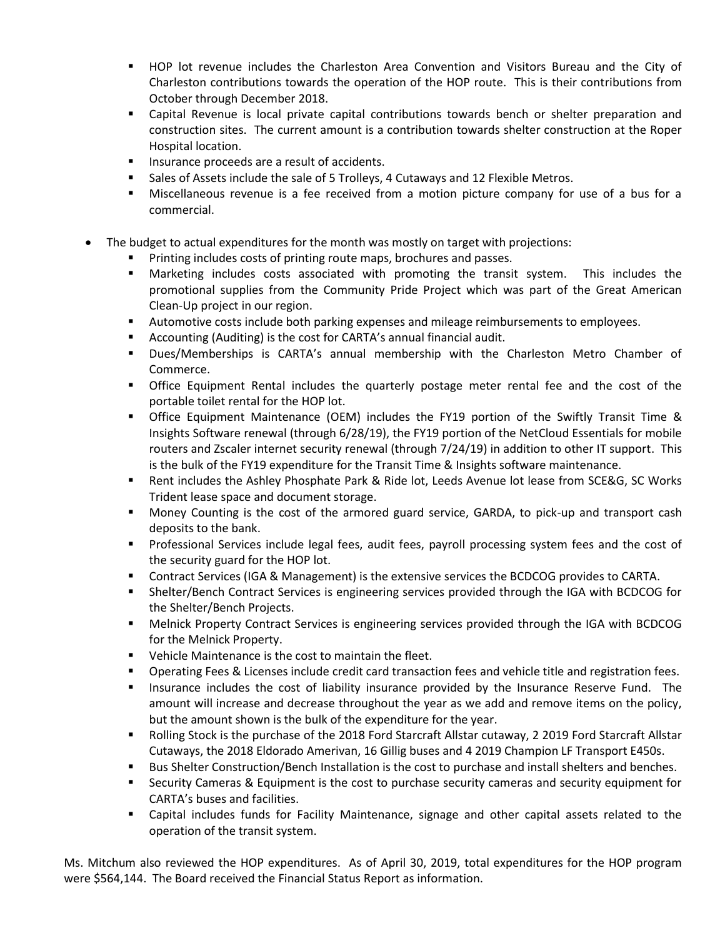- HOP lot revenue includes the Charleston Area Convention and Visitors Bureau and the City of Charleston contributions towards the operation of the HOP route. This is their contributions from October through December 2018.
- Capital Revenue is local private capital contributions towards bench or shelter preparation and construction sites. The current amount is a contribution towards shelter construction at the Roper Hospital location.
- **Insurance proceeds are a result of accidents.**
- Sales of Assets include the sale of 5 Trolleys, 4 Cutaways and 12 Flexible Metros.
- Miscellaneous revenue is a fee received from a motion picture company for use of a bus for a commercial.
- The budget to actual expenditures for the month was mostly on target with projections:
	- Printing includes costs of printing route maps, brochures and passes.
	- Marketing includes costs associated with promoting the transit system. This includes the promotional supplies from the Community Pride Project which was part of the Great American Clean-Up project in our region.
	- Automotive costs include both parking expenses and mileage reimbursements to employees.
	- Accounting (Auditing) is the cost for CARTA's annual financial audit.
	- Dues/Memberships is CARTA's annual membership with the Charleston Metro Chamber of Commerce.
	- Office Equipment Rental includes the quarterly postage meter rental fee and the cost of the portable toilet rental for the HOP lot.
	- Office Equipment Maintenance (OEM) includes the FY19 portion of the Swiftly Transit Time & Insights Software renewal (through 6/28/19), the FY19 portion of the NetCloud Essentials for mobile routers and Zscaler internet security renewal (through 7/24/19) in addition to other IT support. This is the bulk of the FY19 expenditure for the Transit Time & Insights software maintenance.
	- Rent includes the Ashley Phosphate Park & Ride lot, Leeds Avenue lot lease from SCE&G, SC Works Trident lease space and document storage.
	- Money Counting is the cost of the armored guard service, GARDA, to pick-up and transport cash deposits to the bank.
	- **Professional Services include legal fees, audit fees, payroll processing system fees and the cost of State** the security guard for the HOP lot.
	- Contract Services (IGA & Management) is the extensive services the BCDCOG provides to CARTA.
	- Shelter/Bench Contract Services is engineering services provided through the IGA with BCDCOG for the Shelter/Bench Projects.
	- Melnick Property Contract Services is engineering services provided through the IGA with BCDCOG for the Melnick Property.
	- Vehicle Maintenance is the cost to maintain the fleet.
	- **Dearating Fees & Licenses include credit card transaction fees and vehicle title and registration fees.**
	- Insurance includes the cost of liability insurance provided by the Insurance Reserve Fund. The amount will increase and decrease throughout the year as we add and remove items on the policy, but the amount shown is the bulk of the expenditure for the year.
	- Rolling Stock is the purchase of the 2018 Ford Starcraft Allstar cutaway, 2 2019 Ford Starcraft Allstar Cutaways, the 2018 Eldorado Amerivan, 16 Gillig buses and 4 2019 Champion LF Transport E450s.
	- **Bus Shelter Construction/Bench Installation is the cost to purchase and install shelters and benches.**
	- Security Cameras & Equipment is the cost to purchase security cameras and security equipment for CARTA's buses and facilities.
	- Capital includes funds for Facility Maintenance, signage and other capital assets related to the operation of the transit system.

Ms. Mitchum also reviewed the HOP expenditures. As of April 30, 2019, total expenditures for the HOP program were \$564,144. The Board received the Financial Status Report as information.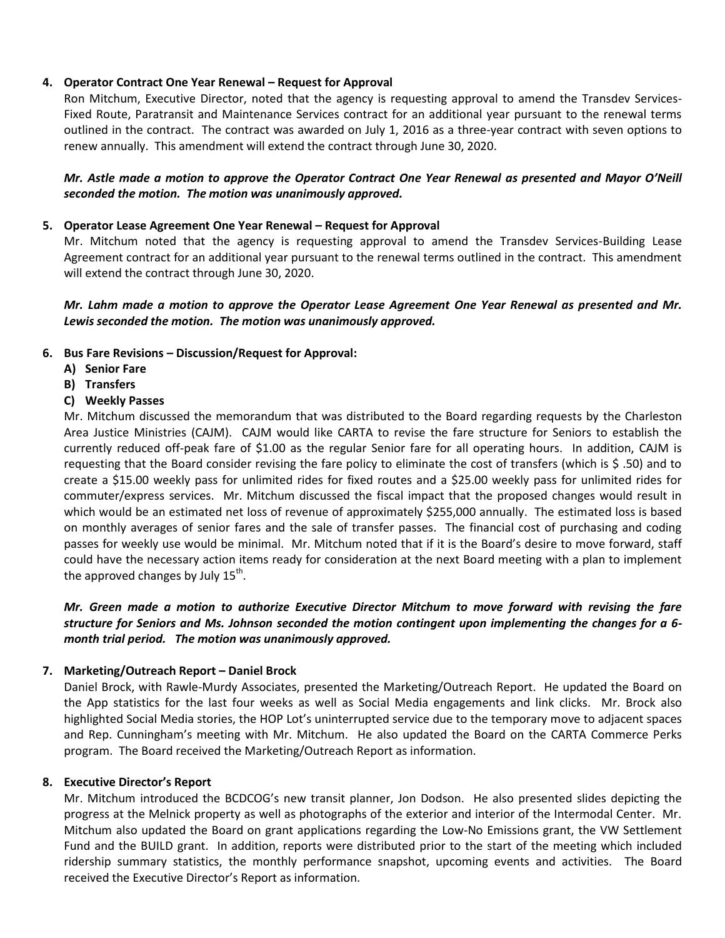# **4. Operator Contract One Year Renewal – Request for Approval**

Ron Mitchum, Executive Director, noted that the agency is requesting approval to amend the Transdev Services-Fixed Route, Paratransit and Maintenance Services contract for an additional year pursuant to the renewal terms outlined in the contract. The contract was awarded on July 1, 2016 as a three-year contract with seven options to renew annually. This amendment will extend the contract through June 30, 2020.

# *Mr. Astle made a motion to approve the Operator Contract One Year Renewal as presented and Mayor O'Neill seconded the motion. The motion was unanimously approved.*

#### **5. Operator Lease Agreement One Year Renewal – Request for Approval**

Mr. Mitchum noted that the agency is requesting approval to amend the Transdev Services-Building Lease Agreement contract for an additional year pursuant to the renewal terms outlined in the contract. This amendment will extend the contract through June 30, 2020.

### *Mr. Lahm made a motion to approve the Operator Lease Agreement One Year Renewal as presented and Mr. Lewis seconded the motion. The motion was unanimously approved.*

#### **6. Bus Fare Revisions – Discussion/Request for Approval:**

- **A) Senior Fare**
- **B) Transfers**
- **C) Weekly Passes**

Mr. Mitchum discussed the memorandum that was distributed to the Board regarding requests by the Charleston Area Justice Ministries (CAJM). CAJM would like CARTA to revise the fare structure for Seniors to establish the currently reduced off-peak fare of \$1.00 as the regular Senior fare for all operating hours. In addition, CAJM is requesting that the Board consider revising the fare policy to eliminate the cost of transfers (which is \$ .50) and to create a \$15.00 weekly pass for unlimited rides for fixed routes and a \$25.00 weekly pass for unlimited rides for commuter/express services. Mr. Mitchum discussed the fiscal impact that the proposed changes would result in which would be an estimated net loss of revenue of approximately \$255,000 annually. The estimated loss is based on monthly averages of senior fares and the sale of transfer passes. The financial cost of purchasing and coding passes for weekly use would be minimal. Mr. Mitchum noted that if it is the Board's desire to move forward, staff could have the necessary action items ready for consideration at the next Board meeting with a plan to implement the approved changes by July 15<sup>th</sup>.

*Mr. Green made a motion to authorize Executive Director Mitchum to move forward with revising the fare structure for Seniors and Ms. Johnson seconded the motion contingent upon implementing the changes for a 6 month trial period. The motion was unanimously approved.*

# **7. Marketing/Outreach Report – Daniel Brock**

Daniel Brock, with Rawle-Murdy Associates, presented the Marketing/Outreach Report. He updated the Board on the App statistics for the last four weeks as well as Social Media engagements and link clicks. Mr. Brock also highlighted Social Media stories, the HOP Lot's uninterrupted service due to the temporary move to adjacent spaces and Rep. Cunningham's meeting with Mr. Mitchum. He also updated the Board on the CARTA Commerce Perks program. The Board received the Marketing/Outreach Report as information.

#### **8. Executive Director's Report**

Mr. Mitchum introduced the BCDCOG's new transit planner, Jon Dodson. He also presented slides depicting the progress at the Melnick property as well as photographs of the exterior and interior of the Intermodal Center. Mr. Mitchum also updated the Board on grant applications regarding the Low-No Emissions grant, the VW Settlement Fund and the BUILD grant. In addition, reports were distributed prior to the start of the meeting which included ridership summary statistics, the monthly performance snapshot, upcoming events and activities. The Board received the Executive Director's Report as information.